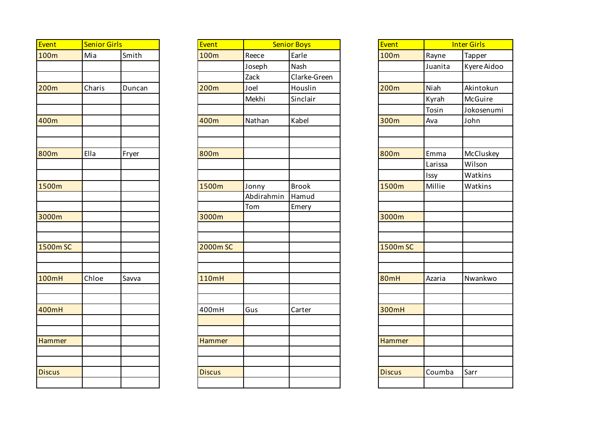| Event         | <b>Senior Girls</b> |        |  |  |  |
|---------------|---------------------|--------|--|--|--|
| 100m          | Mia                 | Smith  |  |  |  |
|               |                     |        |  |  |  |
|               |                     |        |  |  |  |
| 200m          | Charis              | Duncan |  |  |  |
|               |                     |        |  |  |  |
|               |                     |        |  |  |  |
| 400m          |                     |        |  |  |  |
|               |                     |        |  |  |  |
|               |                     |        |  |  |  |
| 800m          | Ella                | Fryer  |  |  |  |
|               |                     |        |  |  |  |
|               |                     |        |  |  |  |
| 1500m         |                     |        |  |  |  |
|               |                     |        |  |  |  |
|               |                     |        |  |  |  |
| 3000m         |                     |        |  |  |  |
|               |                     |        |  |  |  |
| 1500m SC      |                     |        |  |  |  |
|               |                     |        |  |  |  |
|               |                     |        |  |  |  |
| 100mH         | Chloe               | Savva  |  |  |  |
|               |                     |        |  |  |  |
|               |                     |        |  |  |  |
| 400mH         |                     |        |  |  |  |
|               |                     |        |  |  |  |
|               |                     |        |  |  |  |
| <b>Hammer</b> |                     |        |  |  |  |
|               |                     |        |  |  |  |
|               |                     |        |  |  |  |
| <b>Discus</b> |                     |        |  |  |  |
|               |                     |        |  |  |  |

| <b>Event</b>  | <b>Senior Girls</b> |        | Event         |            | <b>Senior Boys</b> | Event         | <b>Inter Girls</b> |
|---------------|---------------------|--------|---------------|------------|--------------------|---------------|--------------------|
| 100m          | Mia                 | Smith  | 100m          | Reece      | Earle              | 100m          | Rayne              |
|               |                     |        |               | Joseph     | Nash               |               | Juanita            |
|               |                     |        |               | Zack       | Clarke-Green       |               |                    |
| 200m          | Charis              | Duncan | 200m          | Joel       | Houslin            | <b>200m</b>   | Niah               |
|               |                     |        |               | Mekhi      | Sinclair           |               | Kyrah              |
|               |                     |        |               |            |                    |               | Tosin              |
| 400m          |                     |        | 400m          | Nathan     | Kabel              | 300m          | Ava                |
|               |                     |        |               |            |                    |               |                    |
| 800m          | Ella                | Fryer  | 800m          |            |                    | 800m          | Emma               |
|               |                     |        |               |            |                    |               | Larissa            |
|               |                     |        |               |            |                    |               | Issy               |
| 1500m         |                     |        | 1500m         | Jonny      | <b>Brook</b>       | 1500m         | Millie             |
|               |                     |        |               | Abdirahmin | Hamud              |               |                    |
|               |                     |        |               | Tom        | Emery              |               |                    |
| 3000m         |                     |        | 3000m         |            |                    | 3000m         |                    |
|               |                     |        |               |            |                    |               |                    |
|               |                     |        |               |            |                    |               |                    |
| 1500m SC      |                     |        | 2000m SC      |            |                    | 1500m SC      |                    |
|               |                     |        |               |            |                    |               |                    |
| 100mH         | Chloe               | Savva  | 110mH         |            |                    | <b>80mH</b>   | Azaria             |
|               |                     |        |               |            |                    |               |                    |
| 400mH         |                     |        | 400mH         | Gus        | Carter             | 300mH         |                    |
|               |                     |        |               |            |                    |               |                    |
| <b>Hammer</b> |                     |        | Hammer        |            |                    | Hammer        |                    |
|               |                     |        |               |            |                    |               |                    |
|               |                     |        |               |            |                    |               |                    |
| <b>Discus</b> |                     |        | <b>Discus</b> |            |                    | <b>Discus</b> | Coumba             |
|               |                     |        |               |            |                    |               |                    |

| Reece      |              |
|------------|--------------|
|            | Earle        |
| Joseph     | Nash         |
| Zack       | Clarke-Green |
| Joel       | Houslin      |
| Mekhi      | Sinclair     |
|            |              |
| Nathan     | Kabel        |
|            |              |
|            |              |
|            |              |
|            |              |
|            |              |
| Jonny      | <b>Brook</b> |
| Abdirahmin | Hamud        |
| Tom        | Emery        |
|            |              |
|            |              |
|            |              |
|            |              |
|            |              |
|            |              |
|            |              |
|            |              |
| Gus        | Carter       |
|            |              |
|            |              |
|            |              |
|            |              |
|            |              |
|            |              |
|            |              |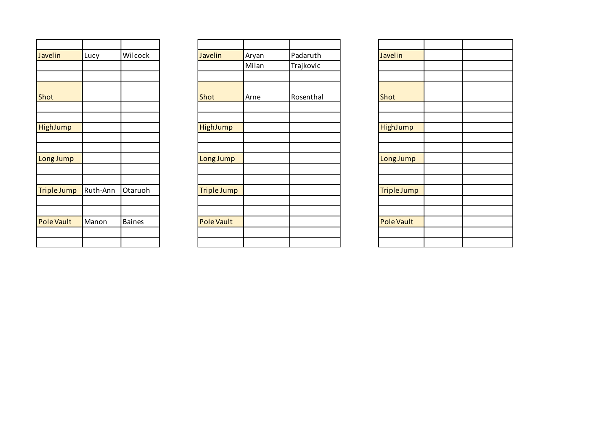| Javelin            | Lucy     | Wilcock       |
|--------------------|----------|---------------|
|                    |          |               |
|                    |          |               |
|                    |          |               |
| Shot               |          |               |
|                    |          |               |
|                    |          |               |
| HighJump           |          |               |
|                    |          |               |
|                    |          |               |
| Long Jump          |          |               |
|                    |          |               |
| <b>Triple Jump</b> | Ruth-Ann | Otaruoh       |
|                    |          |               |
|                    |          |               |
| <b>Pole Vault</b>  | Manon    | <b>Baines</b> |
|                    |          |               |
|                    |          |               |

| Javelin           | Lucy     | Wilcock       | Javelin            | Aryan | Padaruth  |
|-------------------|----------|---------------|--------------------|-------|-----------|
|                   |          |               |                    | Milan | Trajkovic |
|                   |          |               |                    |       |           |
| Shot              |          |               | Shot               | Arne  | Rosenthal |
|                   |          |               |                    |       |           |
| <b>HighJump</b>   |          |               | HighJump           |       |           |
|                   |          |               |                    |       |           |
| Long Jump         |          |               | Long Jump          |       |           |
|                   |          |               |                    |       |           |
| Triple Jump       | Ruth-Ann | Otaruoh       | <b>Triple Jump</b> |       |           |
|                   |          |               |                    |       |           |
| <b>Pole Vault</b> | Manon    | <b>Baines</b> | <b>Pole Vault</b>  |       |           |
|                   |          |               |                    |       |           |
|                   |          |               |                    |       |           |

| Javelin            |  |
|--------------------|--|
|                    |  |
|                    |  |
|                    |  |
| Shot               |  |
|                    |  |
|                    |  |
| HighJump           |  |
|                    |  |
|                    |  |
| Long Jump          |  |
|                    |  |
|                    |  |
| <b>Triple Jump</b> |  |
|                    |  |
|                    |  |
| <b>Pole Vault</b>  |  |
|                    |  |
|                    |  |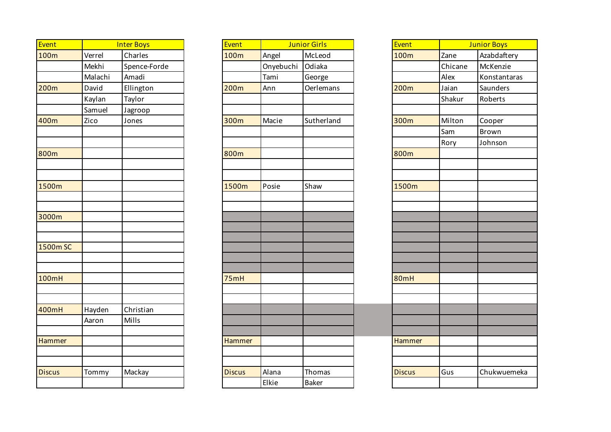| Event            |         | <b>Inter Boys</b> | Event         |           | <b>Junior Girls</b> | Event            |         | <b>Junior Boys</b> |
|------------------|---------|-------------------|---------------|-----------|---------------------|------------------|---------|--------------------|
| 100m             | Verrel  | Charles           | 100m          | Angel     | McLeod              | 100m             | Zane    | Azabdaftery        |
|                  | Mekhi   | Spence-Forde      |               | Onyebuchi | Odiaka              |                  | Chicane | McKenzie           |
|                  | Malachi | Amadi             |               | Tami      | George              |                  | Alex    | Konstantaras       |
| 200 <sub>m</sub> | David   | Ellington         | 200m          | Ann       | Oerlemans           | 200 <sub>m</sub> | Jaian   | Saunders           |
|                  | Kaylan  | Taylor            |               |           |                     |                  | Shakur  | Roberts            |
|                  | Samuel  | Jagroop           |               |           |                     |                  |         |                    |
| 400m             | Zico    | Jones             | 300m          | Macie     | Sutherland          | 300m             | Milton  | Cooper             |
|                  |         |                   |               |           |                     |                  | Sam     | Brown              |
|                  |         |                   |               |           |                     |                  | Rory    | Johnson            |
| 800m             |         |                   | 800m          |           |                     | 800m             |         |                    |
|                  |         |                   |               |           |                     |                  |         |                    |
|                  |         |                   |               |           |                     |                  |         |                    |
| 1500m            |         |                   | 1500m         | Posie     | Shaw                | 1500m            |         |                    |
|                  |         |                   |               |           |                     |                  |         |                    |
|                  |         |                   |               |           |                     |                  |         |                    |
| 3000m            |         |                   |               |           |                     |                  |         |                    |
|                  |         |                   |               |           |                     |                  |         |                    |
|                  |         |                   |               |           |                     |                  |         |                    |
| 1500m SC         |         |                   |               |           |                     |                  |         |                    |
|                  |         |                   |               |           |                     |                  |         |                    |
| 100mH            |         |                   | 75mH          |           |                     | <b>80mH</b>      |         |                    |
|                  |         |                   |               |           |                     |                  |         |                    |
|                  |         |                   |               |           |                     |                  |         |                    |
| 400mH            | Hayden  | Christian         |               |           |                     |                  |         |                    |
|                  | Aaron   | Mills             |               |           |                     |                  |         |                    |
|                  |         |                   |               |           |                     |                  |         |                    |
| Hammer           |         |                   | <b>Hammer</b> |           |                     | Hammer           |         |                    |
|                  |         |                   |               |           |                     |                  |         |                    |
|                  |         |                   |               |           |                     |                  |         |                    |
| <b>Discus</b>    | Tommy   | Mackay            | <b>Discus</b> | Alana     | Thomas              | <b>Discus</b>    | Gus     | Chukwuemeka        |
|                  |         |                   |               | Elkie     | Baker               |                  |         |                    |

|         | <b>Inter Boys</b> | Event         |           | <b>Junior Girls</b> | Event         |         | <b>Junior Boys</b> |
|---------|-------------------|---------------|-----------|---------------------|---------------|---------|--------------------|
| Verrel  | Charles           | 100m          | Angel     | McLeod              | 100m          | Zane    | Azabdaftery        |
| Mekhi   | Spence-Forde      |               | Onyebuchi | Odiaka              |               | Chicane | McKenzie           |
| Malachi | Amadi             |               | Tami      | George              |               | Alex    | Konstantaras       |
| David   | Ellington         | 200m          | Ann       | Oerlemans           | 200m          | Jaian   | Saunders           |
| Kaylan  | Taylor            |               |           |                     |               | Shakur  | Roberts            |
| Samuel  | Jagroop           |               |           |                     |               |         |                    |
| Zico    | Jones             | 300m          | Macie     | Sutherland          | 300m          | Milton  | Cooper             |
|         |                   |               |           |                     |               | Sam     | Brown              |
|         |                   |               |           |                     |               | Rory    | Johnson            |
|         |                   | 800m          |           |                     | 800m          |         |                    |
|         |                   |               |           |                     |               |         |                    |
|         |                   |               |           |                     |               |         |                    |
|         |                   | 1500m         | Posie     | Shaw                | 1500m         |         |                    |
|         |                   |               |           |                     |               |         |                    |
|         |                   |               |           |                     |               |         |                    |
|         |                   |               |           |                     |               |         |                    |
|         |                   |               |           |                     |               |         |                    |
|         |                   |               |           |                     |               |         |                    |
|         |                   |               |           |                     |               |         |                    |
|         |                   |               |           |                     |               |         |                    |
|         |                   | 75mH          |           |                     | 80mH          |         |                    |
|         |                   |               |           |                     |               |         |                    |
|         |                   |               |           |                     |               |         |                    |
| Hayden  | Christian         |               |           |                     |               |         |                    |
| Aaron   | Mills             |               |           |                     |               |         |                    |
|         |                   |               |           |                     |               |         |                    |
|         |                   | <b>Hammer</b> |           |                     | Hammer        |         |                    |
|         |                   |               |           |                     |               |         |                    |
|         |                   |               |           |                     |               |         |                    |
| Tommy   | Mackay            | <b>Discus</b> | Alana     | Thomas              | <b>Discus</b> | Gus     | Chukwuemel         |
|         |                   |               | Elkie     | <b>Baker</b>        |               |         |                    |

| Event         | <b>Junior Boys</b> |              |  |  |
|---------------|--------------------|--------------|--|--|
| 100m          | Zane               | Azabdaftery  |  |  |
|               | Chicane            | McKenzie     |  |  |
|               | Alex               | Konstantaras |  |  |
| 200m          | Jaian              | Saunders     |  |  |
|               | Shakur             | Roberts      |  |  |
|               |                    |              |  |  |
| 300m          | Milton             | Cooper       |  |  |
|               | Sam                | <b>Brown</b> |  |  |
|               | Rory               | Johnson      |  |  |
| 800m          |                    |              |  |  |
|               |                    |              |  |  |
|               |                    |              |  |  |
| 1500m         |                    |              |  |  |
|               |                    |              |  |  |
|               |                    |              |  |  |
|               |                    |              |  |  |
|               |                    |              |  |  |
|               |                    |              |  |  |
|               |                    |              |  |  |
|               |                    |              |  |  |
|               |                    |              |  |  |
| 80mH          |                    |              |  |  |
|               |                    |              |  |  |
|               |                    |              |  |  |
|               |                    |              |  |  |
|               |                    |              |  |  |
| <b>Hammer</b> |                    |              |  |  |
|               |                    |              |  |  |
|               |                    |              |  |  |
| <b>Discus</b> | Gus                | Chukwuemeka  |  |  |
|               |                    |              |  |  |
|               |                    |              |  |  |